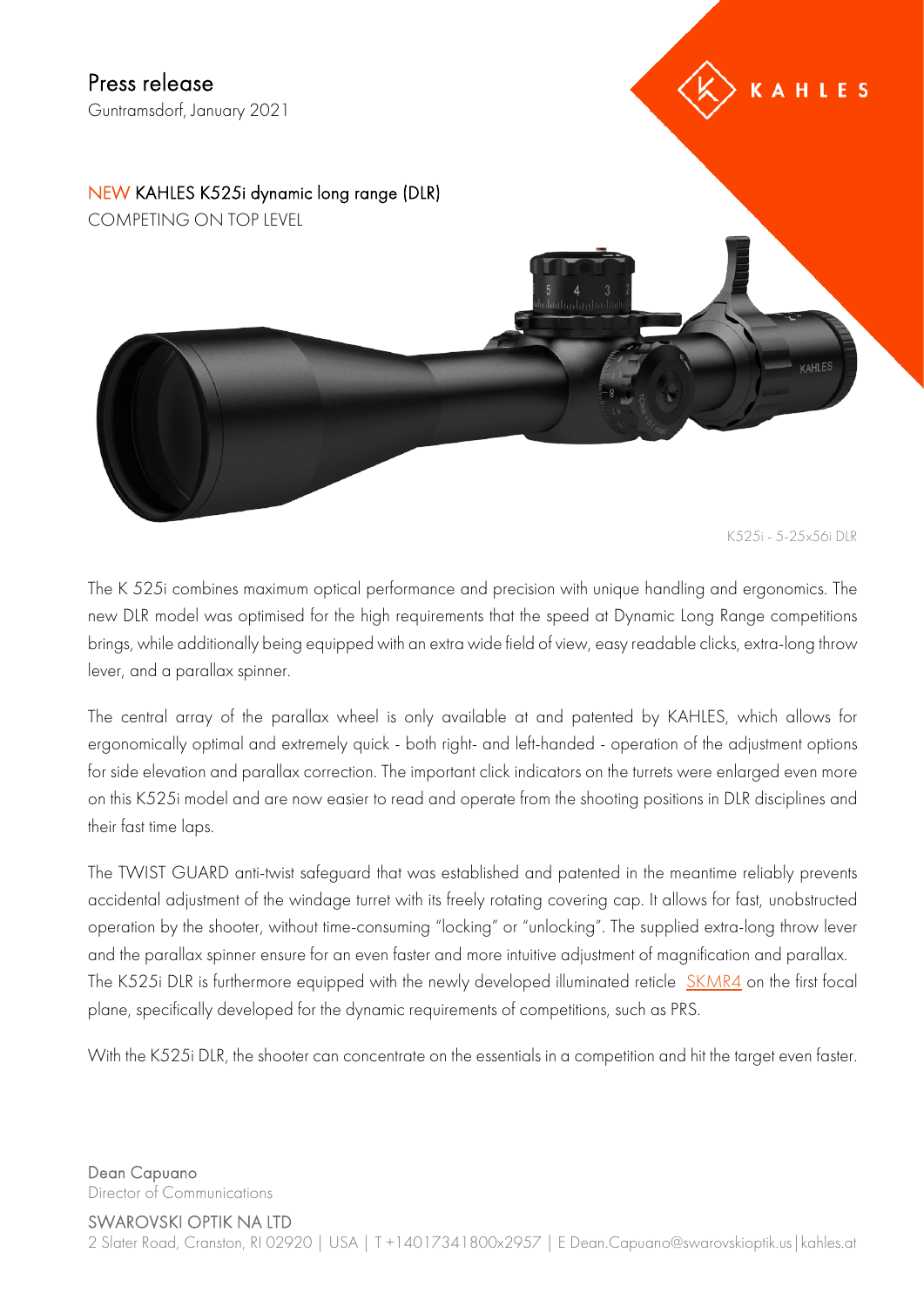**AHLES** 

NEW KAHLES K525i dynamic long range (DLR) COMPETING ON TOP LEVEL

K525i - 5-25x56i DLR

**CAHLES** 

The K 525i combines maximum optical performance and precision with unique handling and ergonomics. The new DLR model was optimised for the high requirements that the speed at Dynamic Long Range competitions brings, while additionally being equipped with an extra wide field of view, easy readable clicks, extra-long throw lever, and a parallax spinner.

The central array of the parallax wheel is only available at and patented by KAHLES, which allows for ergonomically optimal and extremely quick - both right- and left-handed - operation of the adjustment options for side elevation and parallax correction. The important click indicators on the turrets were enlarged even more on this K525i model and are now easier to read and operate from the shooting positions in DLR disciplines and their fast time laps.

The TWIST GUARD anti-twist safeguard that was established and patented in the meantime reliably prevents accidental adjustment of the windage turret with its freely rotating covering cap. It allows for fast, unobstructed operation by the shooter, without time-consuming "locking" or "unlocking". The supplied extra-long throw lever and the parallax spinner ensure for an even faster and more intuitive adjustment of magnification and parallax. The K525i DLR is furthermore equipped with the newly developed illuminated reticle [SKMR4](https://verwaltung.kahles.at/files/shares/Absehen/Dokumente/SKMR4_K525i.pdf) on the first focal plane, specifically developed for the dynamic requirements of competitions, such as PRS.

With the K525i DLR, the shooter can concentrate on the essentials in a competition and hit the target even faster.

Dean Capuano Director of Communications

SWAROVSKI OPTIK NA LTD